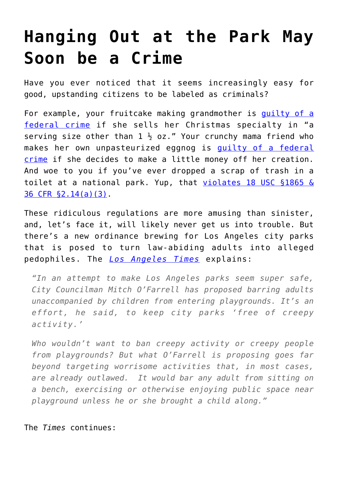## **[Hanging Out at the Park May](https://intellectualtakeout.org/2016/12/hanging-out-at-the-park-may-soon-be-a-crime/) [Soon be a Crime](https://intellectualtakeout.org/2016/12/hanging-out-at-the-park-may-soon-be-a-crime/)**

Have you ever noticed that it seems increasingly easy for good, upstanding citizens to be labeled as criminals?

For example, your fruitcake making grandmother is quilty of a [federal crime](https://twitter.com/CrimeADay/status/812456949774221313) if she sells her Christmas specialty in "a serving size other than  $1\frac{1}{2}$  oz." Your crunchy mama friend who makes her own unpasteurized eggnog is quilty of a federal [crime](https://twitter.com/CrimeADay/status/810648771109470208) if she decides to make a little money off her creation. And woe to you if you've ever dropped a scrap of trash in a toilet at a national park. Yup, that [violates 18 USC §1865 &](https://twitter.com/CrimeADay/status/811029364204781569) [36 CFR §2.14\(a\)\(3\).](https://twitter.com/CrimeADay/status/811029364204781569)

These ridiculous regulations are more amusing than sinister, and, let's face it, will likely never get us into trouble. But there's a new ordinance brewing for Los Angeles city parks that is posed to turn law-abiding adults into alleged pedophiles. The *[Los Angeles Times](http://www.latimes.com/opinion/editorials/la-ed-playground-ban-20161227-story.html)* explains:

*"In an attempt to make Los Angeles parks seem super safe, City Councilman Mitch O'Farrell has proposed barring adults unaccompanied by children from entering playgrounds. It's an effort, he said, to keep city parks 'free of creepy activity.'*

*Who wouldn't want to ban creepy activity or creepy people from playgrounds? But what O'Farrell is proposing goes far beyond targeting worrisome activities that, in most cases, are already outlawed. It would bar any adult from sitting on a bench, exercising or otherwise enjoying public space near playground unless he or she brought a child along."*

## The *Times* continues: